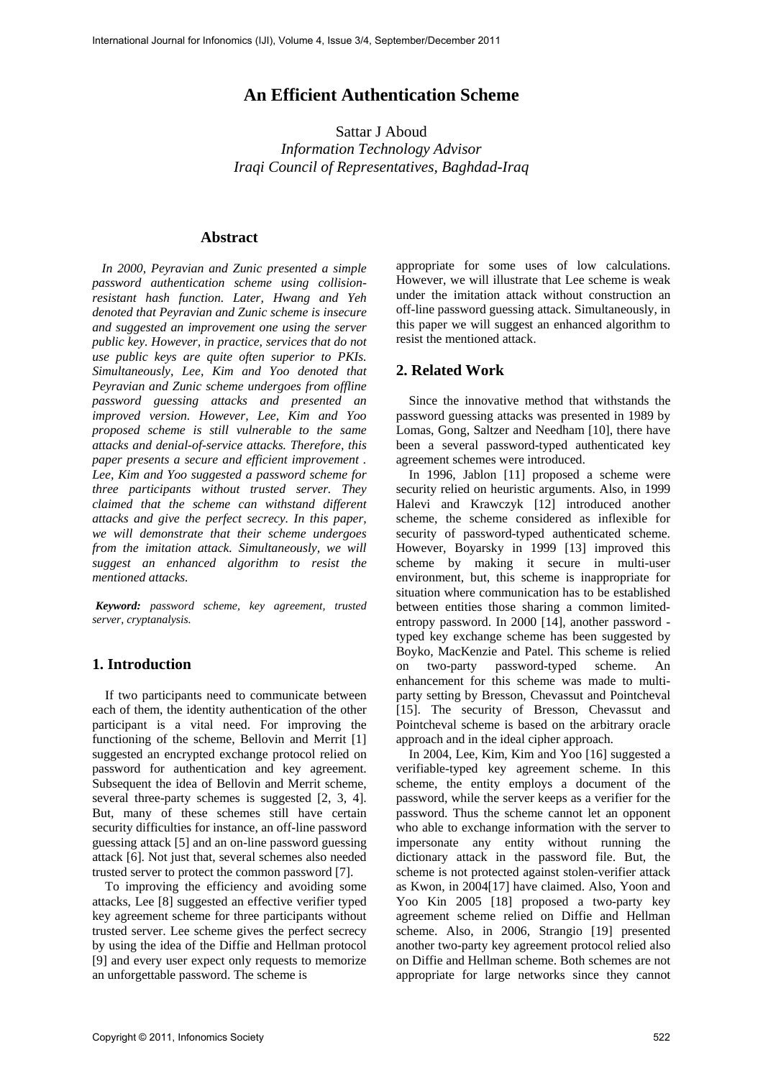# **An Efficient Authentication Scheme**

Sattar J Aboud *Information Technology Advisor Iraqi Council of Representatives, Baghdad-Iraq* 

#### **Abstract**

 *In 2000, Peyravian and Zunic presented a simple password authentication scheme using collisionresistant hash function. Later, Hwang and Yeh denoted that Peyravian and Zunic scheme is insecure and suggested an improvement one using the server public key. However, in practice, services that do not use public keys are quite often superior to PKIs. Simultaneously, Lee, Kim and Yoo denoted that Peyravian and Zunic scheme undergoes from offline password guessing attacks and presented an improved version. However, Lee, Kim and Yoo proposed scheme is still vulnerable to the same attacks and denial-of-service attacks. Therefore, this paper presents a secure and efficient improvement . Lee, Kim and Yoo suggested a password scheme for three participants without trusted server. They claimed that the scheme can withstand different attacks and give the perfect secrecy. In this paper, we will demonstrate that their scheme undergoes from the imitation attack. Simultaneously, we will suggest an enhanced algorithm to resist the mentioned attacks.* 

*Keyword: password scheme, key agreement, trusted server, cryptanalysis.* 

# **1. Introduction**

 If two participants need to communicate between each of them, the identity authentication of the other participant is a vital need. For improving the functioning of the scheme, Bellovin and Merrit [1] suggested an encrypted exchange protocol relied on password for authentication and key agreement. Subsequent the idea of Bellovin and Merrit scheme, several three-party schemes is suggested [2, 3, 4]. But, many of these schemes still have certain security difficulties for instance, an off-line password guessing attack [5] and an on-line password guessing attack [6]. Not just that, several schemes also needed trusted server to protect the common password [7].

 To improving the efficiency and avoiding some attacks, Lee [8] suggested an effective verifier typed key agreement scheme for three participants without trusted server. Lee scheme gives the perfect secrecy by using the idea of the Diffie and Hellman protocol [9] and every user expect only requests to memorize an unforgettable password. The scheme is

appropriate for some uses of low calculations. However, we will illustrate that Lee scheme is weak under the imitation attack without construction an off-line password guessing attack. Simultaneously, in this paper we will suggest an enhanced algorithm to resist the mentioned attack.

## **2. Related Work**

 Since the innovative method that withstands the password guessing attacks was presented in 1989 by Lomas, Gong, Saltzer and Needham [10], there have been a several password-typed authenticated key agreement schemes were introduced.

 In 1996, Jablon [11] proposed a scheme were security relied on heuristic arguments. Also, in 1999 Halevi and Krawczyk [12] introduced another scheme, the scheme considered as inflexible for security of password-typed authenticated scheme. However, Boyarsky in 1999 [13] improved this scheme by making it secure in multi-user environment, but, this scheme is inappropriate for situation where communication has to be established between entities those sharing a common limitedentropy password. In 2000 [14], another password typed key exchange scheme has been suggested by Boyko, MacKenzie and Patel. This scheme is relied on two-party password-typed scheme. An enhancement for this scheme was made to multiparty setting by Bresson, Chevassut and Pointcheval [15]. The security of Bresson, Chevassut and Pointcheval scheme is based on the arbitrary oracle approach and in the ideal cipher approach.

 In 2004, Lee, Kim, Kim and Yoo [16] suggested a verifiable-typed key agreement scheme. In this scheme, the entity employs a document of the password, while the server keeps as a verifier for the password. Thus the scheme cannot let an opponent who able to exchange information with the server to impersonate any entity without running the dictionary attack in the password file. But, the scheme is not protected against stolen-verifier attack as Kwon, in 2004[17] have claimed. Also, Yoon and Yoo Kin 2005 [18] proposed a two-party key agreement scheme relied on Diffie and Hellman scheme. Also, in 2006, Strangio [19] presented another two-party key agreement protocol relied also on Diffie and Hellman scheme. Both schemes are not appropriate for large networks since they cannot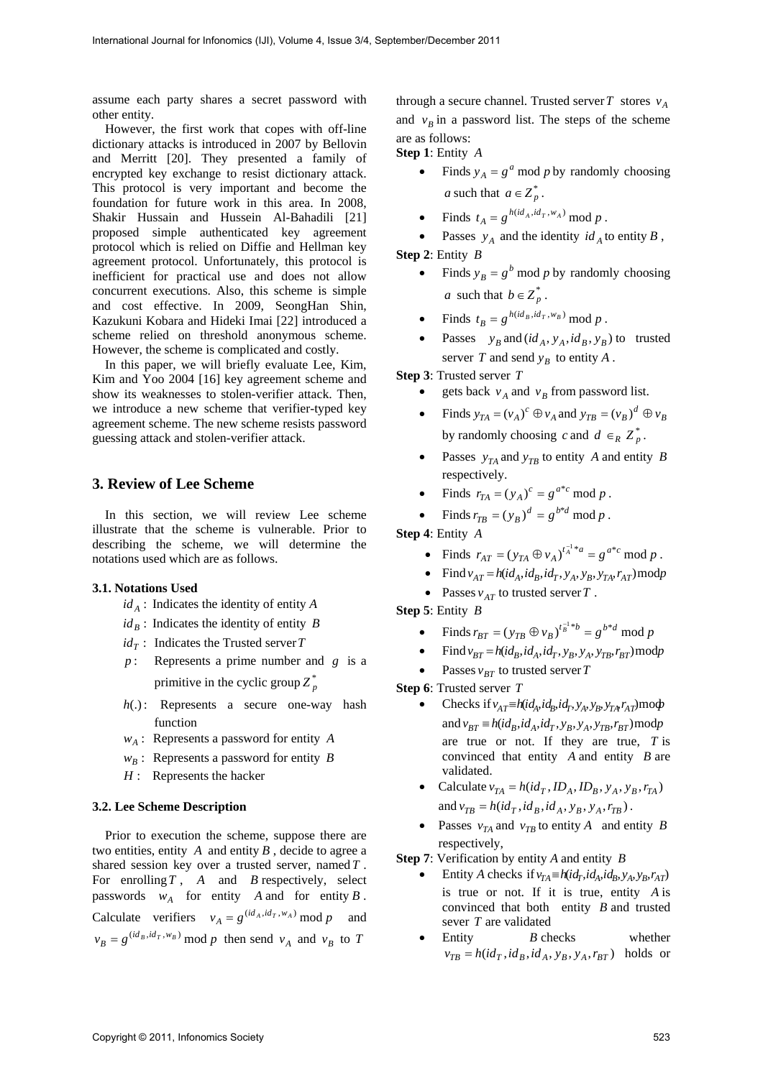assume each party shares a secret password with other entity.

 However, the first work that copes with off-line dictionary attacks is introduced in 2007 by Bellovin and Merritt [20]. They presented a family of encrypted key exchange to resist dictionary attack. This protocol is very important and become the foundation for future work in this area. In 2008, Shakir Hussain and Hussein Al-Bahadili [21] proposed simple authenticated key agreement protocol which is relied on Diffie and Hellman key agreement protocol. Unfortunately, this protocol is inefficient for practical use and does not allow concurrent executions. Also, this scheme is simple and cost effective. In 2009, SeongHan Shin, Kazukuni Kobara and Hideki Imai [22] introduced a scheme relied on threshold anonymous scheme. However, the scheme is complicated and costly.

 In this paper, we will briefly evaluate Lee, Kim, Kim and Yoo 2004 [16] key agreement scheme and show its weaknesses to stolen-verifier attack. Then, we introduce a new scheme that verifier-typed key agreement scheme. The new scheme resists password guessing attack and stolen-verifier attack.

#### **3. Review of Lee Scheme**

 In this section, we will review Lee scheme illustrate that the scheme is vulnerable. Prior to describing the scheme, we will determine the notations used which are as follows.

#### **3.1. Notations Used**

- $id_A$ : Indicates the identity of entity *A*
- $id_B$ : Indicates the identity of entity *B*
- $id_{\tau}$ : Indicates the Trusted server *T*
- *p* : Represents a prime number and *g* is a primitive in the cyclic group  $Z_p^*$
- *h*(.): Represents a secure one-way hash function
- $w_A$ : Represents a password for entity *A*
- $w_B$ : Represents a password for entity *B*
- *H* : Represents the hacker

#### **3.2. Lee Scheme Description**

 Prior to execution the scheme, suppose there are two entities, entity  $A$  and entity  $B$ , decide to agree a shared session key over a trusted server, named*T* . For enrolling*T* , *A* and *B* respectively, select passwords  $w_A$  for entity *A* and for entity *B*. Calculate verifiers  $v_A = g^{(id_A, id_T, w_A)} \mod p$  and  $v_B = g^{(id_B, id_T, w_B)}$  mod p then send  $v_A$  and  $v_B$  to *T* 

through a secure channel. Trusted server *T* stores  $v_A$ and  $v_B$  in a password list. The steps of the scheme are as follows:

**Step 1**: Entity *A*

- Finds  $y_A = g^a \mod p$  by randomly choosing *a* such that  $a \in Z_n^*$ .
- Finds  $t_A = g^{h(id_A, id_T, w_A)} \mod p$ .
- Passes  $y_A$  and the identity  $id_A$  to entity  $B$ , **Step 2**: Entity *B*
	- Finds  $y_B = g^b \text{ mod } p$  by randomly choosing *a* such that  $b \in Z_p^*$ .
	- Finds  $t_B = g^{h(id_B,id_T,w_B)} \mod p$ .
	- Passes  $y_B$  and  $(id_A, y_A, id_B, y_B)$  to trusted server *T* and send  $y_R$  to entity *A*.

**Step 3**: Trusted server *T*

- gets back  $v_A$  and  $v_B$  from password list.
- Finds  $y_{TA} = (v_A)^c \oplus v_A$  and  $y_{TB} = (v_B)^d \oplus v_B$ by randomly choosing *c* and  $d \in_R Z_p^*$ .
- Passes  $y_{TA}$  and  $y_{TB}$  to entity *A* and entity *B* respectively.
- Finds  $r_{TA} = (y_A)^c = g^{a*c} \mod p$ .
- Finds  $r_{TB} = (y_B)^d = g^{b*d} \mod p$ .

**Step 4**: Entity *A*

- Finds  $r_{AT} = (y_{TA} \oplus v_A)^{t_A^{-1} * a} = g^{a * c} \mod p$ .
- Find  $v_{AT} = h(id_A, id_B, id_T, y_A, y_B, y_{TA}, r_{AT}) \bmod p$
- Passes  $v_{AT}$  to trusted server *T*.

**Step 5**: Entity *B*

- Finds  $r_{BT} = (y_{TB} \oplus v_B)^{t_B^{-1}*b} = g^{b*d} \mod p$
- Find  $v_{BT} = h(id_B, id_A, id_T, y_B, y_A, y_{TB}, r_{BT}) \bmod p$
- Passes  $v_{BT}$  to trusted server *T*
- **Step 6**: Trusted server *T*
	- Checks if  $v_{AT} \equiv h(id_A, id_B, id_T, y_A, y_B, y_{TAF}T_{AT})$  mod and  $v_{BT} \equiv h(id_B, id_A, id_T, y_B, y_A, y_{TR}, r_{BT}) \bmod p$ are true or not. If they are true, *T* is convinced that entity *A* and entity *B* are validated.
	- Calculate  $v_{TA} = h(id_T, ID_A, ID_B, y_A, y_B, r_{TA})$ and  $v_{TB} = h(id_T,id_B,id_A, y_B, y_A, r_{TB})$ .
	- Passes  $v_{TA}$  and  $v_{TB}$  to entity *A* and entity *B* respectively,

**Step 7**: Verification by entity *A* and entity *B*

- Entity *A* checks if  $v_{TA} \equiv h(id_T, id_A, id_B, y_A, y_B, r_{AT})$ is true or not. If it is true, entity *A* is convinced that both entity *B* and trusted sever *T* are validated
- Entity *B* checks whether  $v_{TB} = h(id_T, id_B, id_A, y_B, y_A, r_{BT})$  holds or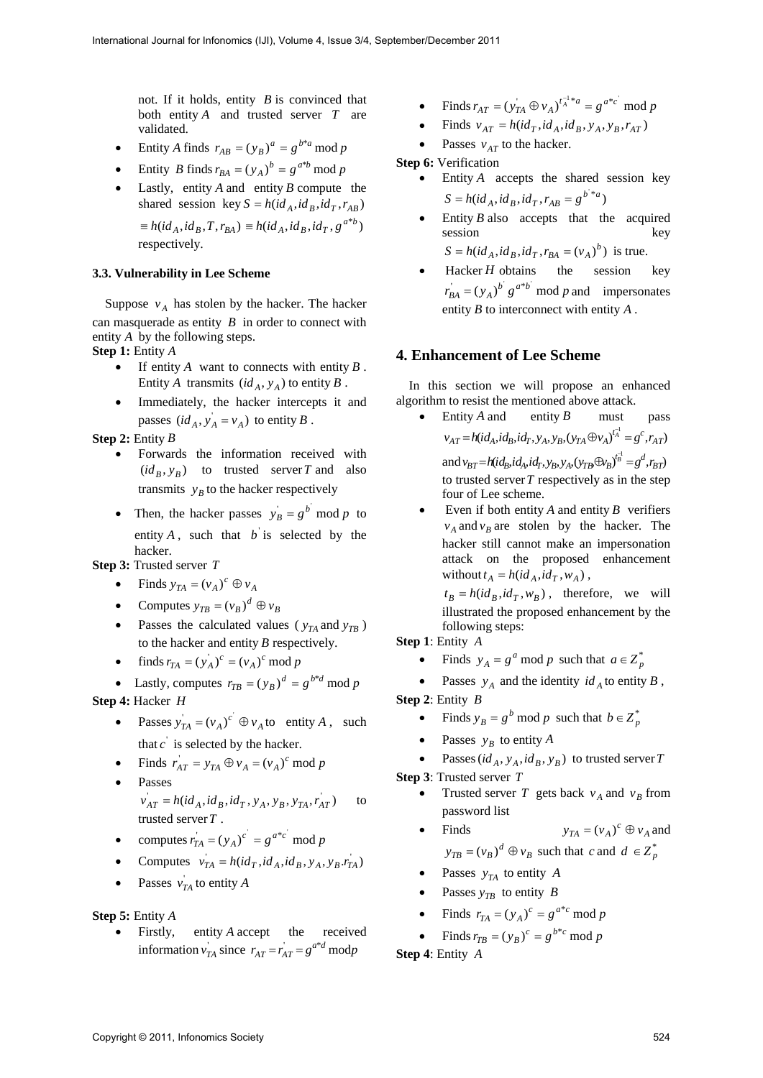not. If it holds, entity *B* is convinced that both entity *A* and trusted server *T* are validated.

- Entity *A* finds  $r_{AB} = (y_B)^a = g^{b^*a} \text{ mod } p$
- Entity *B* finds  $r_{BA} = (y_A)^b = g^{a^*b} \mod p$
- Lastly, entity *A* and entity *B* compute the shared session key  $S = h(id_A, id_B, id_T, r_{AB})$

 $\equiv h(id_A,id_B,T,r_{BA}) \equiv h(id_A,id_B,id_T,g^{a*b})$ respectively.

# **3.3. Vulnerability in Lee Scheme**

Suppose  $v_4$  has stolen by the hacker. The hacker can masquerade as entity *B* in order to connect with entity *A* by the following steps.

**Step 1:** Entity *A*

- If entity  $A$  want to connects with entity  $B$ . Entity *A* transmits  $(id_A, y_A)$  to entity *B*.
- Immediately, the hacker intercepts it and passes  $(id_A, y_A = v_A)$  to entity *B*.

**Step 2:** Entity *B*

- Forwards the information received with  $(id_R, y_R)$  to trusted server *T* and also transmits  $y_R$  to the hacker respectively
- Then, the hacker passes  $y_B = g^b \mod p$  to entity  $A$ , such that  $b$  is selected by the hacker.

**Step 3:** Trusted server *T*

- Finds  $y_{TA} = (v_A)^c \oplus v_A$
- Computes  $y_{TB} = (v_B)^d \oplus v_B$
- Passes the calculated values ( $y_{TA}$  and  $y_{TB}$ ) to the hacker and entity *B* respectively.
- finds  $r_{TA} = (y_A)^c = (v_A)^c \mod p$

• Lastly, computes  $r_{TB} = (y_B)^d = g^{b*d} \mod p$ **Step 4:** Hacker *H*

- Passes  $y_{TA} = (v_A)^c \oplus v_A$  to entity *A*, such that  $c'$  is selected by the hacker.
- Finds  $r_{AT} = y_{TA} \oplus v_A = (v_A)^c \mod p$
- Passes  $v_{AT} = h(id_A, id_B, id_T, y_A, y_B, y_{TA}, r_{AT})$  to trusted server*T* .
- computes  $r_{T_A} = (y_A)^c = g^{a*c} \mod p$
- Computes  $v_{TA} = h(id_T, id_A, id_B, y_A, y_B, r_{TA})$
- Passes  $v_{TA}$  to entity *A*

#### **Step 5:** Entity *A*

• Firstly, entity *A* accept the received information  $v_{TA}$  since  $r_{AT} = r_{AT} = g^{a*d}$  modp

- Finds  $r_{AT} = (y_{TA} \oplus v_A)^{t_A^{-1} * a} = g^{a * c} \mod p$
- Finds  $v_{AT} = h(id_T, id_A, id_B, y_A, y_B, r_{AT})$
- Passes  $v_{AT}$  to the hacker.

# **Step 6: Verification**

- Entity *A* accepts the shared session key  $S = h(id_A, id_B, id_T, r_{AB} = g^{b^{*}*a})$
- Entity *B* also accepts that the acquired session key  $S = h(id_A, id_B, id_T, r_{BA} = (v_A)^b)$  is true.
- Hacker *H* obtains the session key  $r_{BA}^{\prime} = (y_A)^b g^{a*b} \mod p$  and impersonates entity *B* to interconnect with entity *A* .

## **4. Enhancement of Lee Scheme**

 In this section we will propose an enhanced algorithm to resist the mentioned above attack.

- Entity *A* and entity *B* must pass  $v_{AT} = h(id_A, id_B, id_T, y_A, y_B, (y_{TA} \oplus v_A)^{t_A^{-1}} = g^c, r_{AT})$ and  $v_{BT} = h(id_B, id_A, id_T, y_B, y_A, (y_{TB} \oplus y_B)^{t_B^{-1}} = g^d, r_{BT})$ to trusted server*T* respectively as in the step four of Lee scheme.
- Even if both entity *A* and entity *B* verifiers  $v_A$  and  $v_B$  are stolen by the hacker. The hacker still cannot make an impersonation attack on the proposed enhancement without  $t_A = h(id_A, id_T, w_A)$ ,

 $t_B = h(id_B, id_T, w_B)$ , therefore, we will illustrated the proposed enhancement by the following steps:

**Step 1**: Entity *A*

Finds  $y_A = g^a \mod p$  such that  $a \in Z_p^*$ 

• Passes  $y_A$  and the identity  $id_A$  to entity *B*,

**Step 2**: Entity *B*

- Finds  $y_B = g^b \mod p$  such that  $b \in Z_p^*$
- Passes  $y_R$  to entity *A*
- Passes  $(id_A, y_A, id_B, y_B)$  to trusted server *T*

**Step 3**: Trusted server *T*

Trusted server *T* gets back  $v_A$  and  $v_B$  from password list

• Find  
\n
$$
y_{TA} = (v_A)^c \oplus v_A \text{ and}
$$
\n
$$
y_{TB} = (v_B)^d \oplus v_B \text{ such that } c \text{ and } d \in Z_p^*
$$

- Passes  $y_{TA}$  to entity *A*
- Passes  $y_{TR}$  to entity *B*
- Finds  $r_{TA} = (y_A)^c = g^{a*c} \mod p$
- Finds  $r_{TB} = (y_B)^c = g^{b*c} \mod p$

**Step 4**: Entity *A*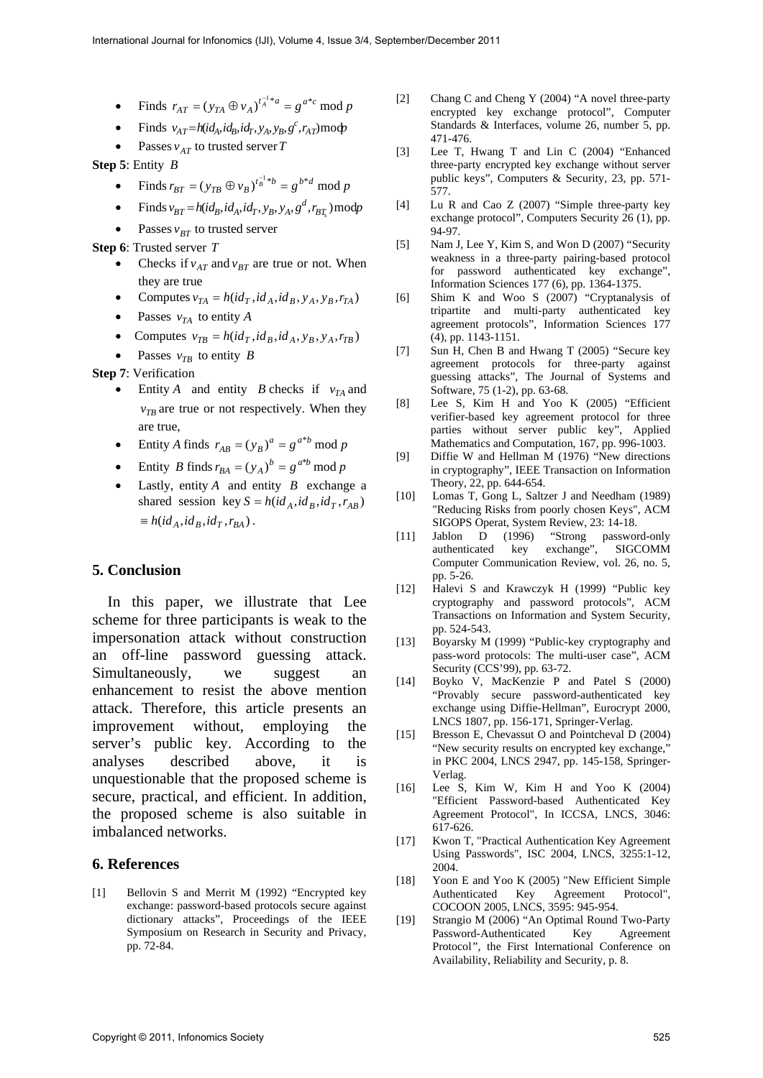- Finds  $r_{AT} = (y_{TA} \oplus v_A)^{t_A^{-1} * a} = g^{a * c} \mod p$
- Finds  $v_{AT} = h(id_A, id_B, id_T, y_A, y_B, g^c, r_{AT})$ modp
- Passes  $v_{AT}$  to trusted server *T*

**Step 5**: Entity *B*

- Finds  $r_{BT} = (y_{TB} \oplus v_B)^{t_B^{-1}*b} = g^{b*d} \mod p$
- Finds  $v_{BT} = h(id_B, id_A, id_T, y_B, y_A, g^d, r_{BT_s}) \text{mod}p$
- Passes  $v_{RT}$  to trusted server

**Step 6**: Trusted server *T*

- Checks if  $v_{AT}$  and  $v_{BT}$  are true or not. When they are true
- Computes  $v_{TA} = h(id_T,id_A,id_B,y_A,y_B,r_{TA})$
- Passes  $v_{TA}$  to entity *A*
- Computes  $v_{TB} = h(id_T,id_B,id_A,y_B,y_A,r_{TB})$
- Passes  $v_{TB}$  to entity *B*

**Step 7**: Verification

- Entity *A* and entity *B* checks if  $v_{TA}$  and  $v_{TB}$  are true or not respectively. When they are true,
- Entity *A* finds  $r_{AB} = (y_B)^a = g^{a*b} \text{ mod } p$
- Entity *B* finds  $r_{BA} = (y_A)^b = g^{a^*b} \mod p$
- Lastly, entity *A* and entity *B* exchange a shared session key  $S = h(id_A, id_B, id_T, r_{AB})$  $\equiv h(id_A, id_B, id_T, r_{BA})$ .

# **5. Conclusion**

 In this paper, we illustrate that Lee scheme for three participants is weak to the impersonation attack without construction an off-line password guessing attack. Simultaneously, we suggest an enhancement to resist the above mention attack. Therefore, this article presents an improvement without, employing the server's public key. According to the analyses described above, it is unquestionable that the proposed scheme is secure, practical, and efficient. In addition, the proposed scheme is also suitable in imbalanced networks.

### **6. References**

[1] Bellovin S and Merrit M (1992) "Encrypted key exchange: password-based protocols secure against dictionary attacks", Proceedings of the IEEE Symposium on Research in Security and Privacy, pp. 72-84.

- [2] Chang C and Cheng Y (2004) "A novel three-party encrypted key exchange protocol", Computer Standards & Interfaces, volume 26, number 5, pp. 471-476.
- [3] Lee T, Hwang T and Lin C (2004) "Enhanced three-party encrypted key exchange without server public keys", Computers & Security, 23, pp. 571- 577.
- [4] Lu R and Cao Z (2007) "Simple three-party key exchange protocol", Computers Security 26 (1), pp. 94-97.
- [5] Nam J, Lee Y, Kim S, and Won D (2007) "Security weakness in a three-party pairing-based protocol for password authenticated key exchange", Information Sciences 177 (6), pp. 1364-1375.
- [6] Shim K and Woo S (2007) "Cryptanalysis of tripartite and multi-party authenticated key agreement protocols", Information Sciences 177 (4), pp. 1143-1151.
- [7] Sun H, Chen B and Hwang T (2005) "Secure key agreement protocols for three-party against guessing attacks", The Journal of Systems and Software, 75 (1-2), pp. 63-68.
- [8] Lee S, Kim H and Yoo K (2005) "Efficient verifier-based key agreement protocol for three parties without server public key", Applied Mathematics and Computation, 167, pp. 996-1003.
- [9] Diffie W and Hellman M (1976) "New directions in cryptography", IEEE Transaction on Information Theory, 22, pp. 644-654.
- [10] Lomas T, Gong L, Saltzer J and Needham (1989) "Reducing Risks from poorly chosen Keys", ACM SIGOPS Operat, System Review, 23: 14-18.
- [11] Jablon D (1996) "Strong password-only authenticated key exchange", SIGCOMM Computer Communication Review, vol. 26, no. 5, pp. 5-26.
- [12] Halevi S and Krawczyk H (1999) "Public key cryptography and password protocols", ACM Transactions on Information and System Security, pp. 524-543.
- [13] Boyarsky M (1999) "Public-key cryptography and pass-word protocols: The multi-user case", ACM Security (CCS'99), pp. 63-72.
- [14] Boyko V, MacKenzie P and Patel S (2000) "Provably secure password-authenticated key exchange using Diffie-Hellman", Eurocrypt 2000, LNCS 1807, pp. 156-171, Springer-Verlag.
- [15] Bresson E, Chevassut O and Pointcheval D (2004) "New security results on encrypted key exchange," in PKC 2004, LNCS 2947, pp. 145-158, Springer-Verlag.
- [16] Lee S, Kim W, Kim H and Yoo K (2004) "Efficient Password-based Authenticated Key Agreement Protocol", In ICCSA, LNCS, 3046: 617-626.
- [17] Kwon T, "Practical Authentication Key Agreement Using Passwords", ISC 2004, LNCS, 3255:1-12, 2004.
- [18] Yoon E and Yoo K (2005) "New Efficient Simple Authenticated Key Agreement Protocol", COCOON 2005, LNCS, 3595: 945-954.
- [19] Strangio M (2006) "An Optimal Round Two-Party Password-Authenticated Key Agreement Protocol*",* the First International Conference on Availability, Reliability and Security, p. 8.